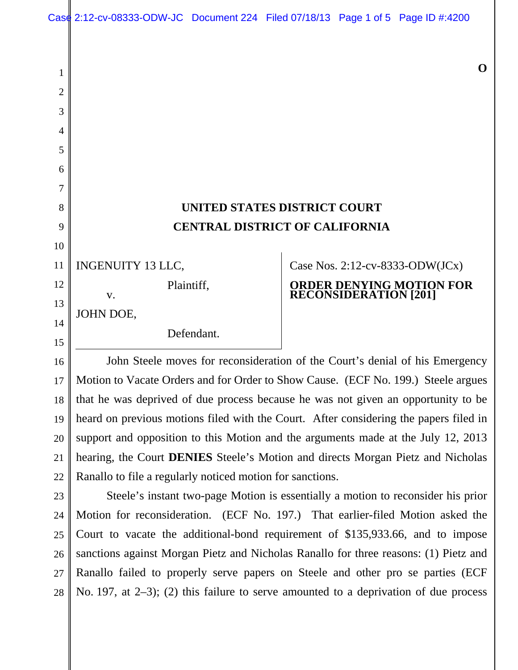## **UNITED STATES DISTRICT COURT CENTRAL DISTRICT OF CALIFORNIA**

INGENUITY 13 LLC, 11

Plaintiff,

JOHN DOE,

1

2

3

4

5

6

7

8

9

10

12

13

14

15

21

v.

Defendant.

## Case Nos. 2:12-cv-8333-ODW(JCx) **ORDER DENYING MOTION FOR RECONSIDERATION [201]**

John Steele moves for reconsideration of the Court's denial of his Emergency Motion to Vacate Orders and for Order to Show Cause. (ECF No. 199.) Steele argues that he was deprived of due process because he was not given an opportunity to be heard on previous motions filed with the Court. After considering the papers filed in support and opposition to this Motion and the arguments made at the July 12, 2013 hearing, the Court **DENIES** Steele's Motion and directs Morgan Pietz and Nicholas Ranallo to file a regularly noticed motion for sanctions. 16 17 18 19 20 22

Steele's instant two-page Motion is essentially a motion to reconsider his prior Motion for reconsideration. (ECF No. 197.) That earlier-filed Motion asked the Court to vacate the additional-bond requirement of \$135,933.66, and to impose sanctions against Morgan Pietz and Nicholas Ranallo for three reasons: (1) Pietz and Ranallo failed to properly serve papers on Steele and other pro se parties (ECF No. 197, at 2–3); (2) this failure to serve amounted to a deprivation of due process 23 24 25 26 27 28

**O**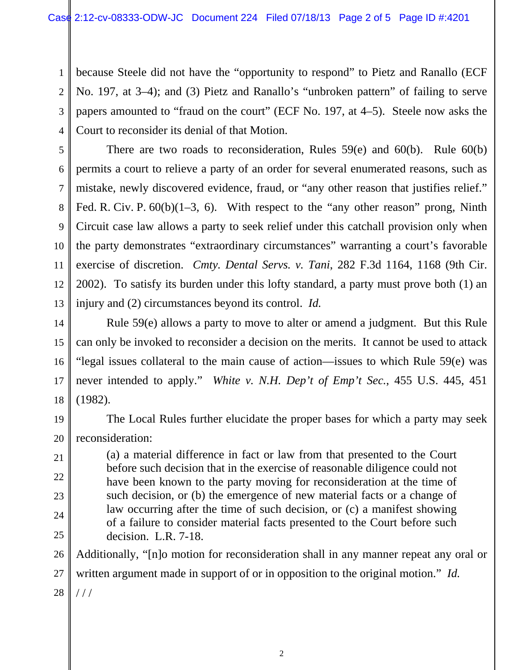1 2 3 4 because Steele did not have the "opportunity to respond" to Pietz and Ranallo (ECF No. 197, at 3–4); and (3) Pietz and Ranallo's "unbroken pattern" of failing to serve papers amounted to "fraud on the court" (ECF No. 197, at 4–5). Steele now asks the Court to reconsider its denial of that Motion.

5 6 7 9 12 13 There are two roads to reconsideration, Rules 59(e) and 60(b). Rule 60(b) permits a court to relieve a party of an order for several enumerated reasons, such as mistake, newly discovered evidence, fraud, or "any other reason that justifies relief." Fed. R. Civ. P.  $60(b)(1-3, 6)$ . With respect to the "any other reason" prong, Ninth Circuit case law allows a party to seek relief under this catchall provision only when the party demonstrates "extraordinary circumstances" warranting a court's favorable exercise of discretion. *Cmty. Dental Servs. v. Tani*, 282 F.3d 1164, 1168 (9th Cir. 2002). To satisfy its burden under this lofty standard, a party must prove both (1) an injury and (2) circumstances beyond its control. *Id.* 

8

10

11

21

22

23

24

25

14 15 16 17 18 Rule 59(e) allows a party to move to alter or amend a judgment. But this Rule can only be invoked to reconsider a decision on the merits. It cannot be used to attack "legal issues collateral to the main cause of action—issues to which Rule 59(e) was never intended to apply." *White v. N.H. Dep't of Emp't Sec.*, 455 U.S. 445, 451 (1982).

19 20 The Local Rules further elucidate the proper bases for which a party may seek reconsideration:

(a) a material difference in fact or law from that presented to the Court before such decision that in the exercise of reasonable diligence could not have been known to the party moving for reconsideration at the time of such decision, or (b) the emergence of new material facts or a change of law occurring after the time of such decision, or (c) a manifest showing of a failure to consider material facts presented to the Court before such decision. L.R. 7-18.

26 27 28 Additionally, "[n]o motion for reconsideration shall in any manner repeat any oral or written argument made in support of or in opposition to the original motion." *Id.*  / / /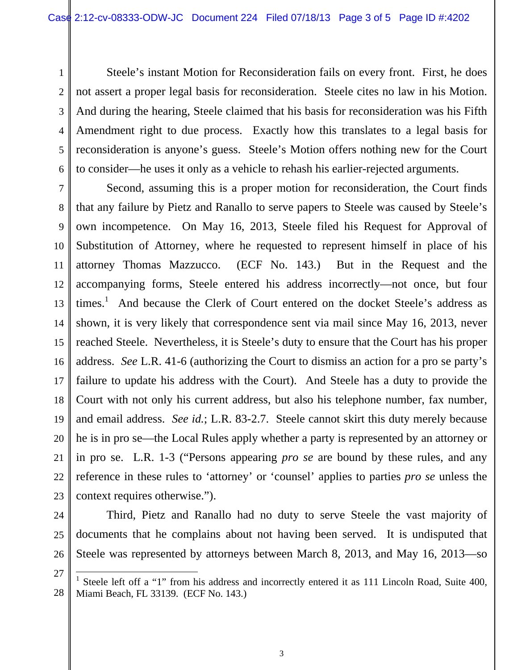Steele's instant Motion for Reconsideration fails on every front. First, he does not assert a proper legal basis for reconsideration. Steele cites no law in his Motion. And during the hearing, Steele claimed that his basis for reconsideration was his Fifth Amendment right to due process. Exactly how this translates to a legal basis for reconsideration is anyone's guess. Steele's Motion offers nothing new for the Court to consider—he uses it only as a vehicle to rehash his earlier-rejected arguments.

7 8 9 10 11 12 13 14 15 16 Second, assuming this is a proper motion for reconsideration, the Court finds that any failure by Pietz and Ranallo to serve papers to Steele was caused by Steele's own incompetence. On May 16, 2013, Steele filed his Request for Approval of Substitution of Attorney, where he requested to represent himself in place of his attorney Thomas Mazzucco. (ECF No. 143.) But in the Request and the accompanying forms, Steele entered his address incorrectly—not once, but four times.<sup>1</sup> And because the Clerk of Court entered on the docket Steele's address as shown, it is very likely that correspondence sent via mail since May 16, 2013, never reached Steele. Nevertheless, it is Steele's duty to ensure that the Court has his proper address. *See* L.R. 41-6 (authorizing the Court to dismiss an action for a pro se party's failure to update his address with the Court). And Steele has a duty to provide the Court with not only his current address, but also his telephone number, fax number, and email address. *See id.*; L.R. 83-2.7. Steele cannot skirt this duty merely because he is in pro se—the Local Rules apply whether a party is represented by an attorney or in pro se. L.R. 1-3 ("Persons appearing *pro se* are bound by these rules, and any reference in these rules to 'attorney' or 'counsel' applies to parties *pro se* unless the context requires otherwise.").

 $\overline{a}$ 

1

2

3

4

5

6

Third, Pietz and Ranallo had no duty to serve Steele the vast majority of documents that he complains about not having been served. It is undisputed that Steele was represented by attorneys between March 8, 2013, and May 16, 2013—so

<sup>1</sup> Steele left off a "1" from his address and incorrectly entered it as 111 Lincoln Road, Suite 400, Miami Beach, FL 33139. (ECF No. 143.)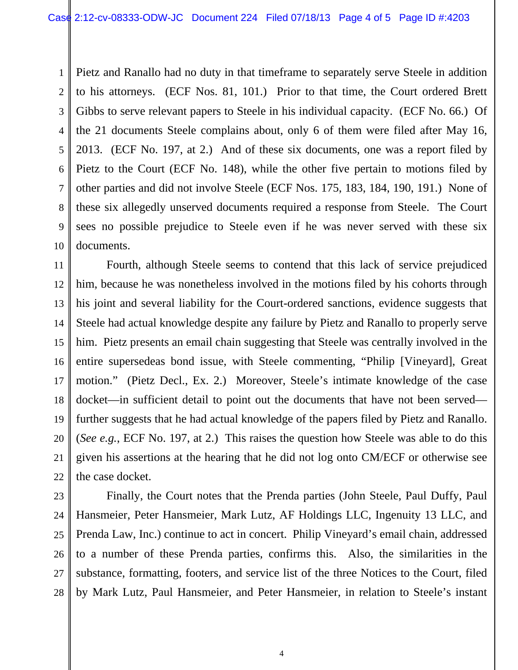1 2 3 4 5 6 7 8 9 10 Pietz and Ranallo had no duty in that timeframe to separately serve Steele in addition to his attorneys. (ECF Nos. 81, 101.) Prior to that time, the Court ordered Brett Gibbs to serve relevant papers to Steele in his individual capacity. (ECF No. 66.) Of the 21 documents Steele complains about, only 6 of them were filed after May 16, 2013. (ECF No. 197, at 2.) And of these six documents, one was a report filed by Pietz to the Court (ECF No. 148), while the other five pertain to motions filed by other parties and did not involve Steele (ECF Nos. 175, 183, 184, 190, 191.) None of these six allegedly unserved documents required a response from Steele. The Court sees no possible prejudice to Steele even if he was never served with these six documents.

11 12 13 14 15 16 17 18 19 20 21 Fourth, although Steele seems to contend that this lack of service prejudiced him, because he was nonetheless involved in the motions filed by his cohorts through his joint and several liability for the Court-ordered sanctions, evidence suggests that Steele had actual knowledge despite any failure by Pietz and Ranallo to properly serve him. Pietz presents an email chain suggesting that Steele was centrally involved in the entire supersedeas bond issue, with Steele commenting, "Philip [Vineyard], Great motion." (Pietz Decl., Ex. 2.) Moreover, Steele's intimate knowledge of the case docket—in sufficient detail to point out the documents that have not been served further suggests that he had actual knowledge of the papers filed by Pietz and Ranallo. (*See e.g.*, ECF No. 197, at 2.) This raises the question how Steele was able to do this given his assertions at the hearing that he did not log onto CM/ECF or otherwise see the case docket.

28

Finally, the Court notes that the Prenda parties (John Steele, Paul Duffy, Paul Hansmeier, Peter Hansmeier, Mark Lutz, AF Holdings LLC, Ingenuity 13 LLC, and Prenda Law, Inc.) continue to act in concert. Philip Vineyard's email chain, addressed to a number of these Prenda parties, confirms this. Also, the similarities in the substance, formatting, footers, and service list of the three Notices to the Court, filed by Mark Lutz, Paul Hansmeier, and Peter Hansmeier, in relation to Steele's instant